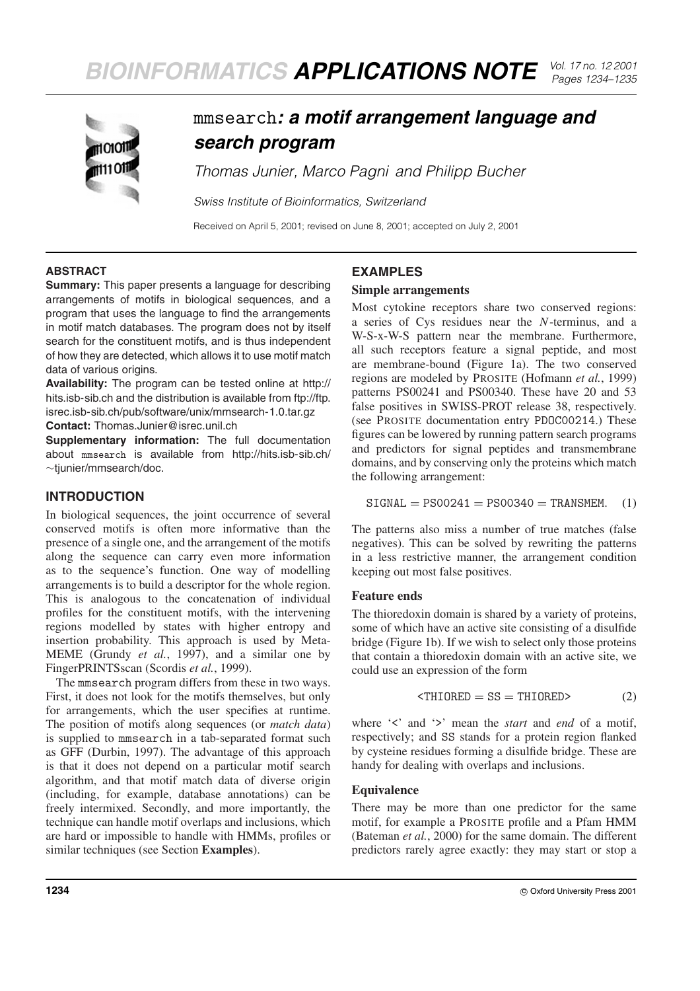

# mmsearch*: a motif arrangement language and search program*

*Thomas Junier, Marco Pagni and Philipp Bucher*

*Swiss Institute of Bioinformatics, Switzerland*

Received on April 5, 2001; revised on June 8, 2001; accepted on July 2, 2001

## **ABSTRACT**

**Summary:** This paper presents a language for describing arrangements of motifs in biological sequences, and a program that uses the language to find the arrangements in motif match databases. The program does not by itself search for the constituent motifs, and is thus independent of how they are detected, which allows it to use motif match data of various origins.

**Availability:** The program can be tested online at http:// hits.isb-sib.ch and the distribution is available from ftp://ftp. isrec.isb-sib.ch/pub/software/unix/mmsearch-1.0.tar.gz

**Contact:** Thomas.Junier@isrec.unil.ch

**Supplementary information:** The full documentation about mmsearch is available from http://hits.isb-sib.ch/ ∼tjunier/mmsearch/doc.

## **INTRODUCTION**

In biological sequences, the joint occurrence of several conserved motifs is often more informative than the presence of a single one, and the arrangement of the motifs along the sequence can carry even more information as to the sequence's function. One way of modelling arrangements is to build a descriptor for the whole region. This is analogous to the concatenation of individual profiles for the constituent motifs, with the intervening regions modelled by states with higher entropy and insertion probability. This approach is used by Meta-MEME (Grundy *et al.*, 1997), and a similar one by FingerPRINTSscan (Scordis *et al.*, 1999).

The mmsearch program differs from these in two ways. First, it does not look for the motifs themselves, but only for arrangements, which the user specifies at runtime. The position of motifs along sequences (or *match data*) is supplied to mmsearch in a tab-separated format such as GFF (Durbin, 1997). The advantage of this approach is that it does not depend on a particular motif search algorithm, and that motif match data of diverse origin (including, for example, database annotations) can be freely intermixed. Secondly, and more importantly, the technique can handle motif overlaps and inclusions, which are hard or impossible to handle with HMMs, profiles or similar techniques (see Section **Examples**).

# **EXAMPLES**

#### **Simple arrangements**

Most cytokine receptors share two conserved regions: a series of Cys residues near the *N*-terminus, and a W-S-x-W-S pattern near the membrane. Furthermore, all such receptors feature a signal peptide, and most are membrane-bound (Figure 1a). The two conserved regions are modeled by PROSITE (Hofmann *et al.*, 1999) patterns PS00241 and PS00340. These have 20 and 53 false positives in SWISS-PROT release 38, respectively. (see PROSITE documentation entry PDOC00214.) These figures can be lowered by running pattern search programs and predictors for signal peptides and transmembrane domains, and by conserving only the proteins which match the following arrangement:

 $SIGNAL = PS00241 = PS00340 = TRANSMEM.$  (1)

The patterns also miss a number of true matches (false negatives). This can be solved by rewriting the patterns in a less restrictive manner, the arrangement condition keeping out most false positives.

## **Feature ends**

The thioredoxin domain is shared by a variety of proteins, some of which have an active site consisting of a disulfide bridge (Figure 1b). If we wish to select only those proteins that contain a thioredoxin domain with an active site, we could use an expression of the form

$$
\langle \text{THIORED} = \text{SS} = \text{THIORED} \rangle \tag{2}
$$

where ' $\leq$ ' and ' $\geq$ ' mean the *start* and *end* of a motif, respectively; and SS stands for a protein region flanked by cysteine residues forming a disulfide bridge. These are handy for dealing with overlaps and inclusions.

## **Equivalence**

There may be more than one predictor for the same motif, for example a PROSITE profile and a Pfam HMM (Bateman *et al.*, 2000) for the same domain. The different predictors rarely agree exactly: they may start or stop a